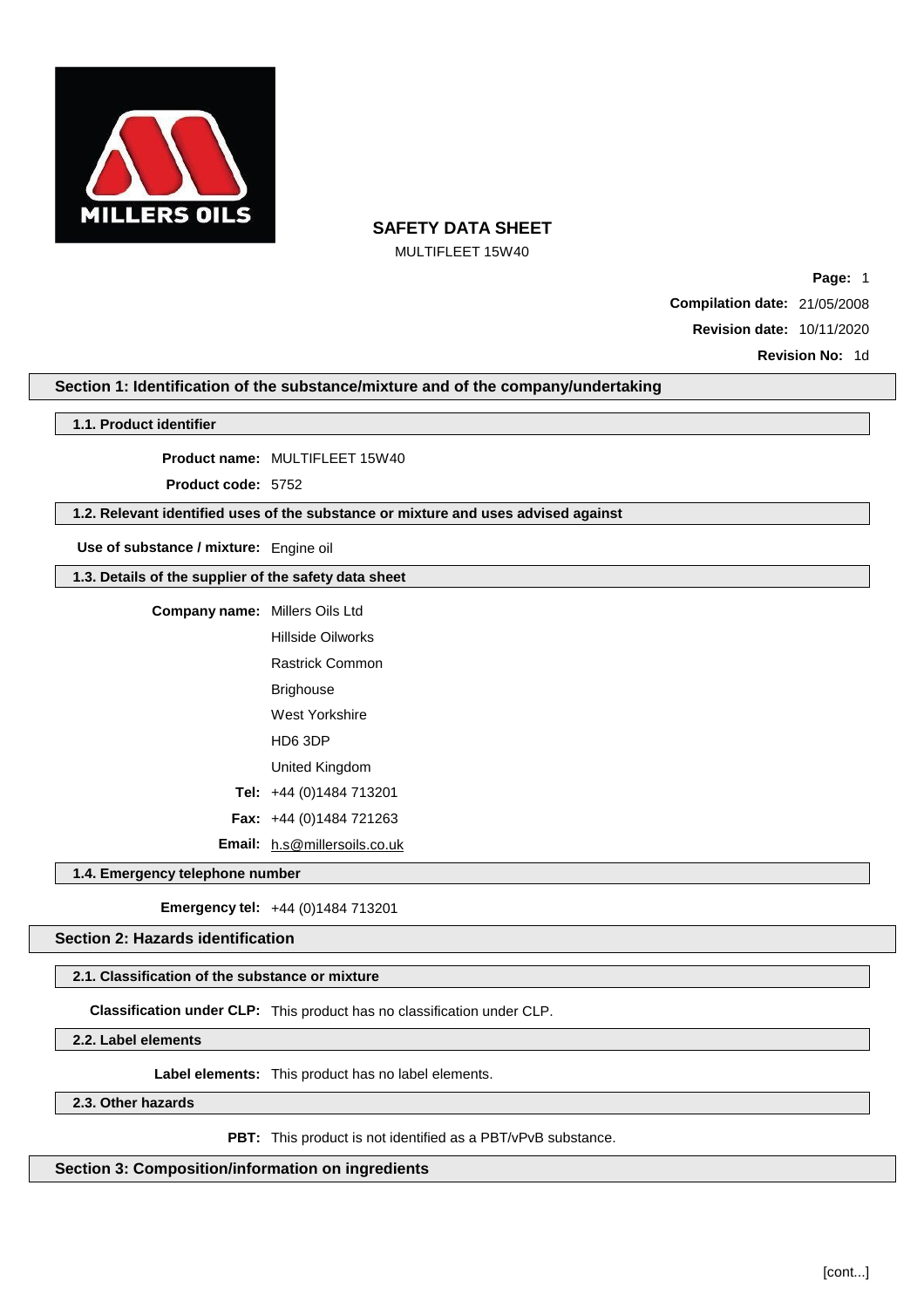

MULTIFLEET 15W40

**Page:** 1 **Compilation date:** 21/05/2008 **Revision date:** 10/11/2020

**Revision No:** 1d

## **Section 1: Identification of the substance/mixture and of the company/undertaking**

### **1.1. Product identifier**

**Product name:** MULTIFLEET 15W40

**Product code:** 5752

## **1.2. Relevant identified uses of the substance or mixture and uses advised against**

**Use of substance / mixture:** Engine oil

**1.3. Details of the supplier of the safety data sheet**

| <b>Company name:</b> | Millers Oils Ltd                    |
|----------------------|-------------------------------------|
|                      | Hillside Oilworks                   |
|                      | Rastrick Common                     |
|                      | Brighouse                           |
|                      | West Yorkshire                      |
|                      | HD6 3DP                             |
|                      | United Kingdom                      |
|                      | Tel: $+44(0)1484713201$             |
|                      | <b>Fax:</b> $+44$ (0)1484 721263    |
|                      | <b>Email:</b> h.s@millersoils.co.uk |

**1.4. Emergency telephone number**

**Emergency tel:** +44 (0)1484 713201

**Section 2: Hazards identification**

## **2.1. Classification of the substance or mixture**

**Classification under CLP:** This product has no classification under CLP.

**2.2. Label elements**

**Label elements:** This product has no label elements.

**2.3. Other hazards**

**PBT:** This product is not identified as a PBT/vPvB substance.

**Section 3: Composition/information on ingredients**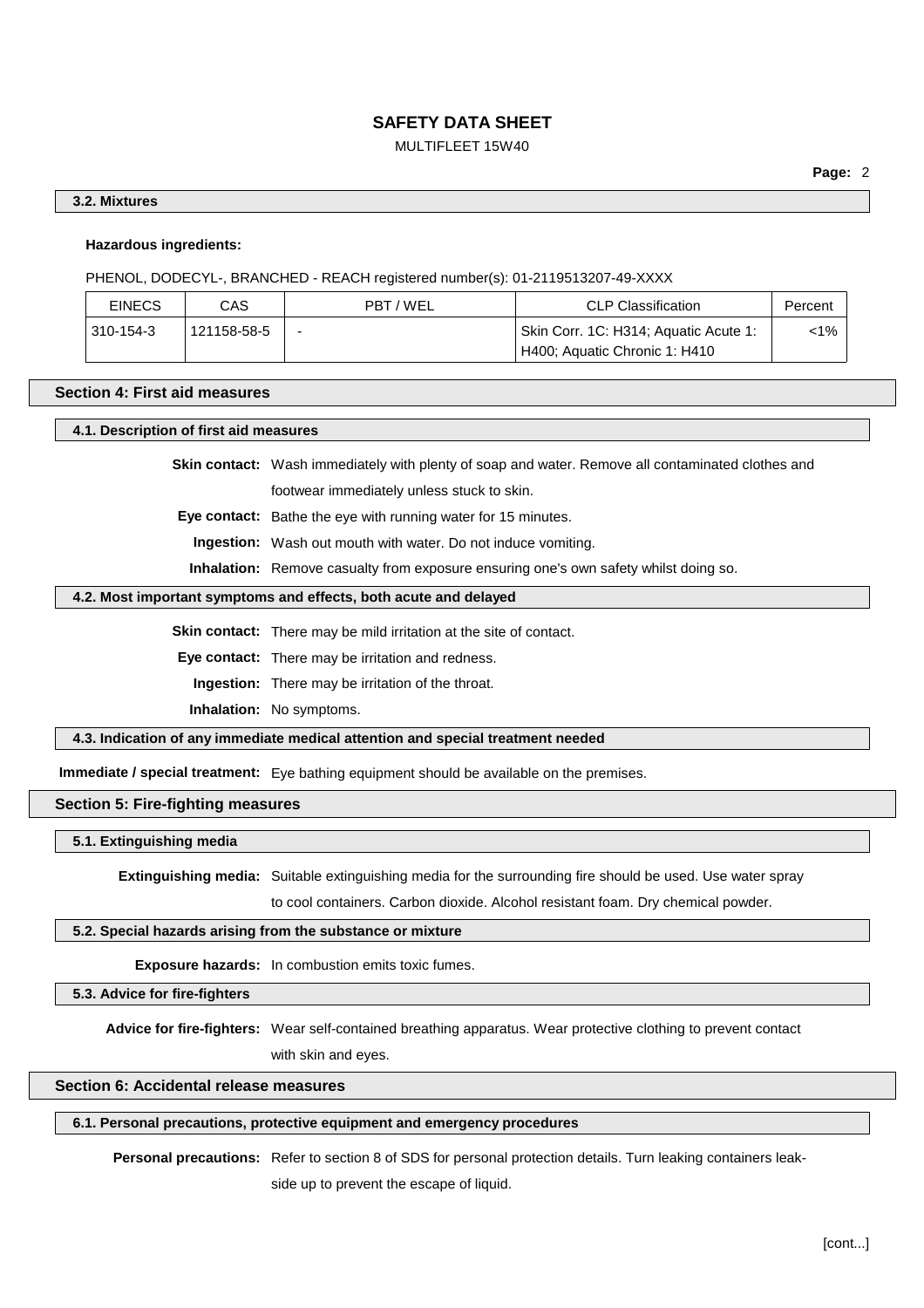## MULTIFLEET 15W40

## **3.2. Mixtures**

## **Hazardous ingredients:**

PHENOL, DODECYL-, BRANCHED - REACH registered number(s): 01-2119513207-49-XXXX

| <b>EINECS</b> | CAS         | PBT/WEL                  | <b>CLP Classification</b>                                              | Percent |
|---------------|-------------|--------------------------|------------------------------------------------------------------------|---------|
| 310-154-3     | 121158-58-5 | $\overline{\phantom{0}}$ | Skin Corr. 1C: H314; Aquatic Acute 1:<br>H400; Aquatic Chronic 1: H410 | <1%     |

#### **Section 4: First aid measures**

#### **4.1. Description of first aid measures**

**Skin contact:** Wash immediately with plenty of soap and water. Remove all contaminated clothes and footwear immediately unless stuck to skin.

**Eye contact:** Bathe the eye with running water for 15 minutes.

**Ingestion:** Wash out mouth with water. Do not induce vomiting.

**Inhalation:** Remove casualty from exposure ensuring one's own safety whilst doing so.

### **4.2. Most important symptoms and effects, both acute and delayed**

**Skin contact:** There may be mild irritation at the site of contact.

**Eye contact:** There may be irritation and redness.

**Ingestion:** There may be irritation of the throat.

**Inhalation:** No symptoms.

**4.3. Indication of any immediate medical attention and special treatment needed**

**Immediate / special treatment:** Eye bathing equipment should be available on the premises.

**Section 5: Fire-fighting measures**

**5.1. Extinguishing media**

**Extinguishing media:** Suitable extinguishing media for the surrounding fire should be used. Use water spray

to cool containers. Carbon dioxide. Alcohol resistant foam. Dry chemical powder.

### **5.2. Special hazards arising from the substance or mixture**

**Exposure hazards:** In combustion emits toxic fumes.

**5.3. Advice for fire-fighters**

**Advice for fire-fighters:** Wear self-contained breathing apparatus. Wear protective clothing to prevent contact with skin and eyes.

## **Section 6: Accidental release measures**

#### **6.1. Personal precautions, protective equipment and emergency procedures**

**Personal precautions:** Refer to section 8 of SDS for personal protection details. Turn leaking containers leak-

side up to prevent the escape of liquid.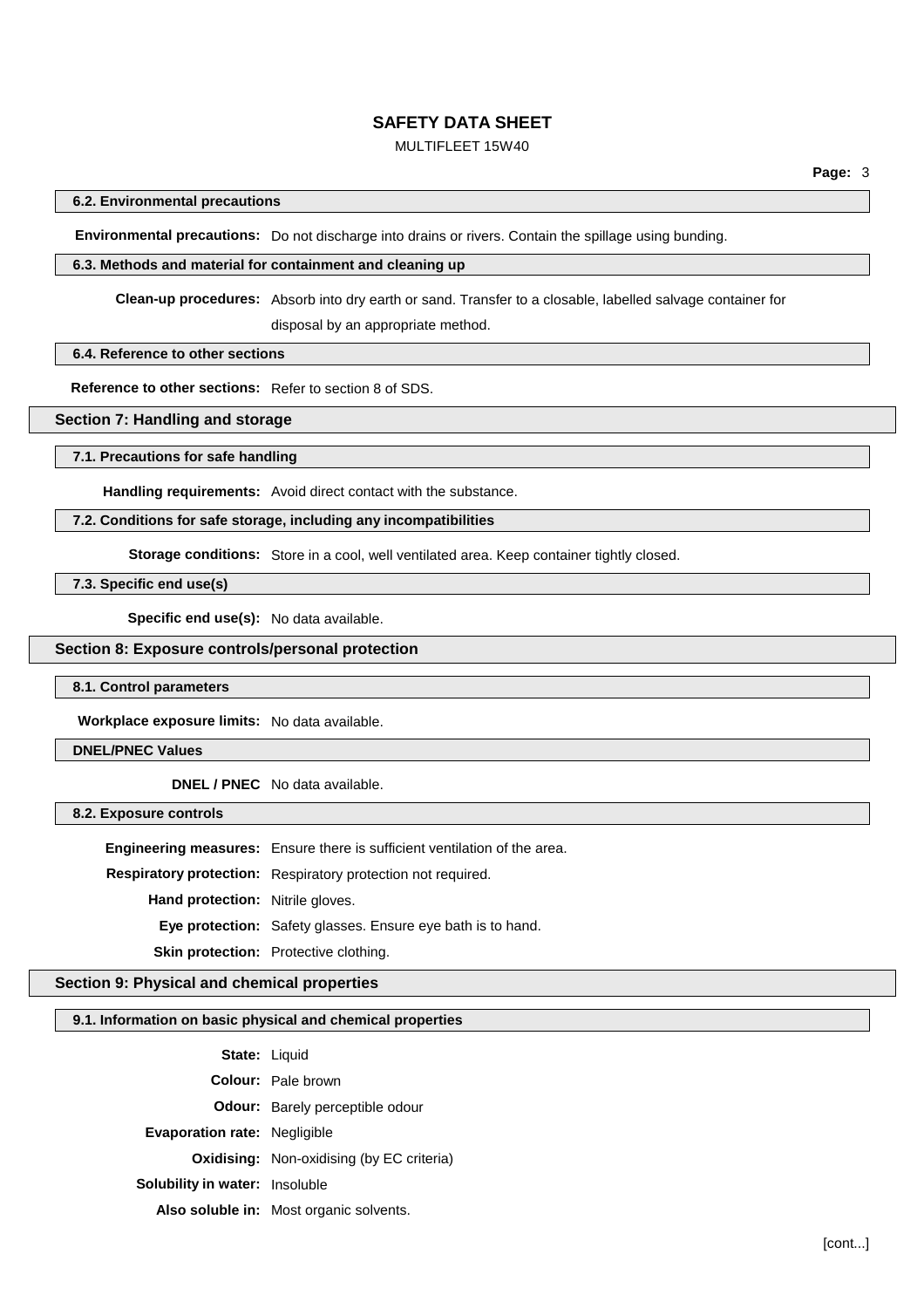## MULTIFLEET 15W40

### **6.2. Environmental precautions**

**Environmental precautions:** Do not discharge into drains or rivers. Contain the spillage using bunding.

### **6.3. Methods and material for containment and cleaning up**

**Clean-up procedures:** Absorb into dry earth or sand. Transfer to a closable, labelled salvage container for

disposal by an appropriate method.

### **6.4. Reference to other sections**

**Reference to other sections:** Refer to section 8 of SDS.

## **Section 7: Handling and storage**

**7.1. Precautions for safe handling**

**Handling requirements:** Avoid direct contact with the substance.

## **7.2. Conditions for safe storage, including any incompatibilities**

**Storage conditions:** Store in a cool, well ventilated area. Keep container tightly closed.

**7.3. Specific end use(s)**

**Specific end use(s):** No data available.

### **Section 8: Exposure controls/personal protection**

**8.1. Control parameters**

**Workplace exposure limits:** No data available.

### **DNEL/PNEC Values**

**DNEL / PNEC** No data available.

**8.2. Exposure controls**

**Engineering measures:** Ensure there is sufficient ventilation of the area.

**Respiratory protection:** Respiratory protection not required.

**Hand protection:** Nitrile gloves.

**Eye protection:** Safety glasses. Ensure eye bath is to hand.

**Skin protection:** Protective clothing.

## **Section 9: Physical and chemical properties**

#### **9.1. Information on basic physical and chemical properties**

| <b>State: Liquid</b>                  |                                                  |
|---------------------------------------|--------------------------------------------------|
|                                       | <b>Colour:</b> Pale brown                        |
|                                       | <b>Odour:</b> Barely perceptible odour           |
| <b>Evaporation rate: Negligible</b>   |                                                  |
|                                       | <b>Oxidising:</b> Non-oxidising (by EC criteria) |
| <b>Solubility in water: Insoluble</b> |                                                  |
|                                       | Also soluble in: Most organic solvents.          |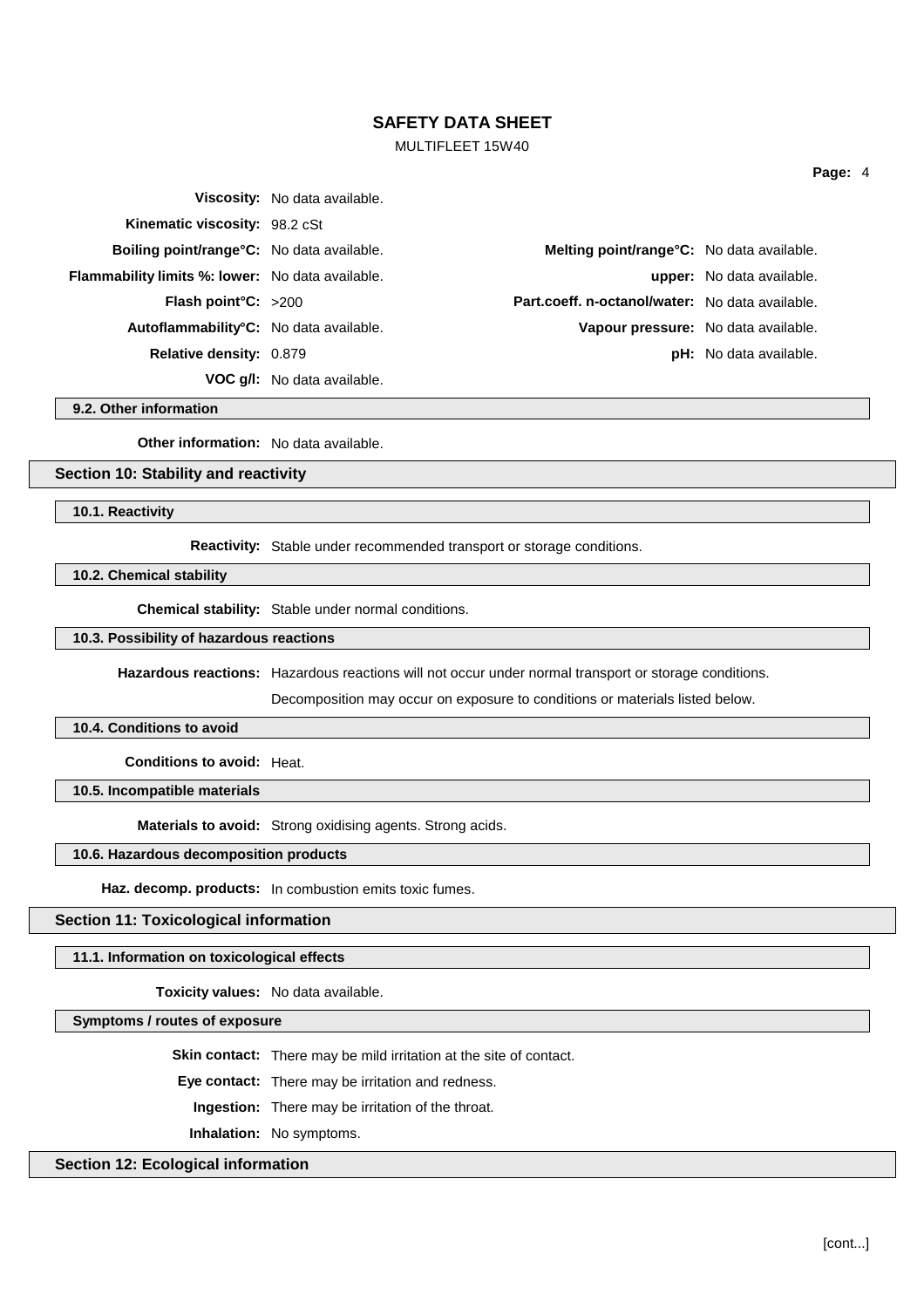## MULTIFLEET 15W40

|                                                         | <b>Viscosity:</b> No data available. |                                                 |                                  |
|---------------------------------------------------------|--------------------------------------|-------------------------------------------------|----------------------------------|
| Kinematic viscosity: 98.2 cSt                           |                                      |                                                 |                                  |
| <b>Boiling point/range °C:</b> No data available.       |                                      | Melting point/range°C: No data available.       |                                  |
| <b>Flammability limits %: lower:</b> No data available. |                                      |                                                 | <b>upper:</b> No data available. |
| <b>Flash point °C:</b> $>200$                           |                                      | Part.coeff. n-octanol/water: No data available. |                                  |
| Autoflammability <sup>°</sup> C: No data available.     |                                      | Vapour pressure: No data available.             |                                  |
| Relative density: 0.879                                 |                                      |                                                 | <b>pH:</b> No data available.    |
|                                                         | <b>VOC g/l:</b> No data available.   |                                                 |                                  |

**9.2. Other information**

**Other information:** No data available.

# **Section 10: Stability and reactivity**

**10.1. Reactivity**

**Reactivity:** Stable under recommended transport or storage conditions.

**10.2. Chemical stability**

**Chemical stability:** Stable under normal conditions.

# **10.3. Possibility of hazardous reactions**

**Hazardous reactions:** Hazardous reactions will not occur under normal transport or storage conditions.

Decomposition may occur on exposure to conditions or materials listed below.

### **10.4. Conditions to avoid**

**Conditions to avoid:** Heat.

**10.5. Incompatible materials**

**Materials to avoid:** Strong oxidising agents. Strong acids.

## **10.6. Hazardous decomposition products**

**Haz. decomp. products:** In combustion emits toxic fumes.

### **Section 11: Toxicological information**

**11.1. Information on toxicological effects**

**Toxicity values:** No data available.

**Symptoms / routes of exposure**

**Skin contact:** There may be mild irritation at the site of contact.

**Eye contact:** There may be irritation and redness.

**Ingestion:** There may be irritation of the throat.

**Inhalation:** No symptoms.

### **Section 12: Ecological information**

[cont...]

**Page:** 4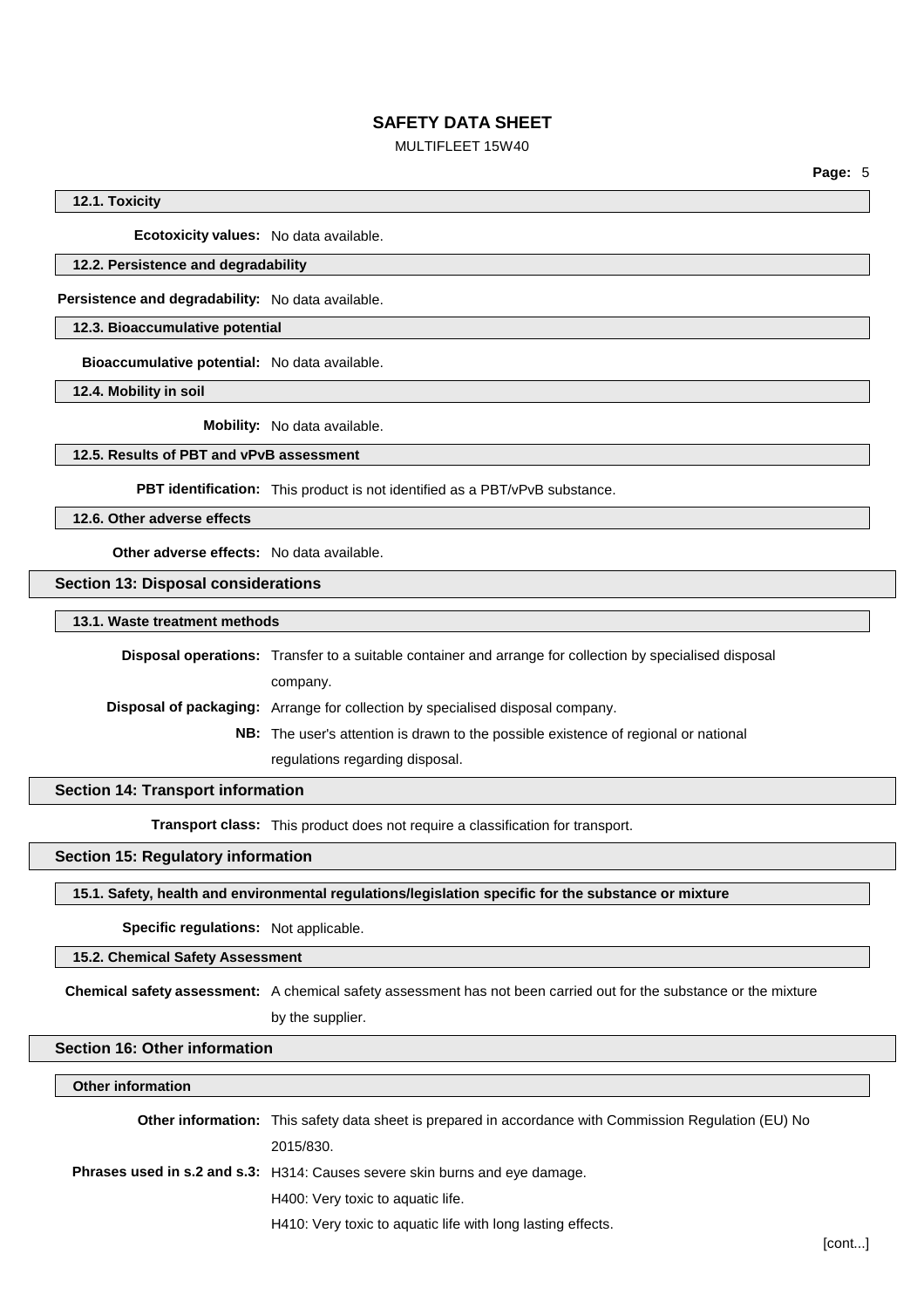## MULTIFLEET 15W40

**Page:** 5

### **12.1. Toxicity**

**Ecotoxicity values:** No data available.

#### **12.2. Persistence and degradability**

**Persistence and degradability:** No data available.

## **12.3. Bioaccumulative potential**

**Bioaccumulative potential:** No data available.

**12.4. Mobility in soil**

**Mobility:** No data available.

### **12.5. Results of PBT and vPvB assessment**

**PBT identification:** This product is not identified as a PBT/vPvB substance.

**12.6. Other adverse effects**

**Other adverse effects:** No data available.

**Section 13: Disposal considerations**

**13.1. Waste treatment methods**

**Disposal operations:** Transfer to a suitable container and arrange for collection by specialised disposal company. **Disposal of packaging:** Arrange for collection by specialised disposal company. **NB:** The user's attention is drawn to the possible existence of regional or national regulations regarding disposal.

**Section 14: Transport information**

**Transport class:** This product does not require a classification for transport.

## **Section 15: Regulatory information**

**15.1. Safety, health and environmental regulations/legislation specific for the substance or mixture**

**Specific regulations:** Not applicable.

### **15.2. Chemical Safety Assessment**

**Chemical safety assessment:** A chemical safety assessment has not been carried out for the substance or the mixture

by the supplier.

# **Section 16: Other information**

#### **Other information**

| <b>Other information:</b> This safety data sheet is prepared in accordance with Commission Regulation (EU) No |  |
|---------------------------------------------------------------------------------------------------------------|--|
| 2015/830.                                                                                                     |  |
| <b>Phrases used in s.2 and s.3:</b> H314: Causes severe skin burns and eye damage.                            |  |
| H400: Very toxic to aquatic life.                                                                             |  |
| H410: Very toxic to aquatic life with long lasting effects.                                                   |  |